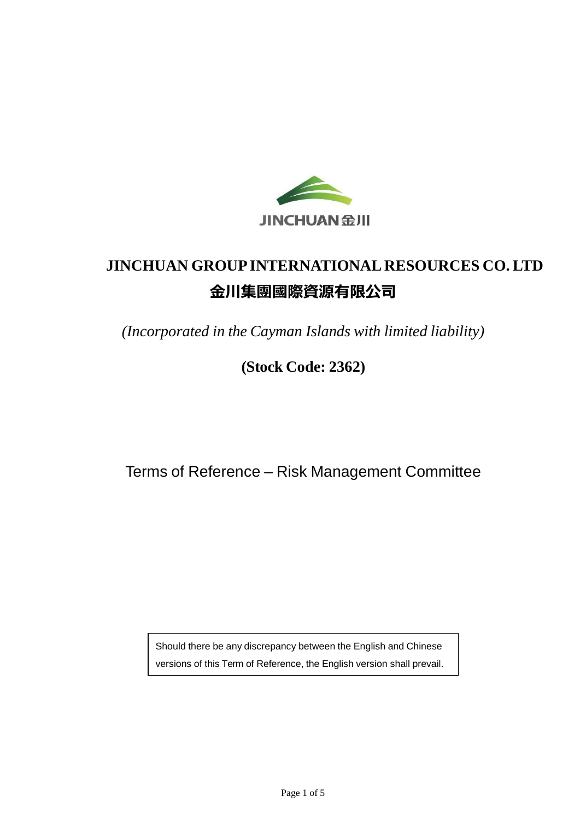

# **JINCHUAN GROUPINTERNATIONAL RESOURCES CO. LTD 金川集團國際資源有限公司**

*(Incorporated in the Cayman Islands with limited liability)*

## **(Stock Code: 2362)**

Terms of Reference – Risk Management Committee

Should there be any discrepancy between the English and Chinese versions of this Term of Reference, the English version shall prevail.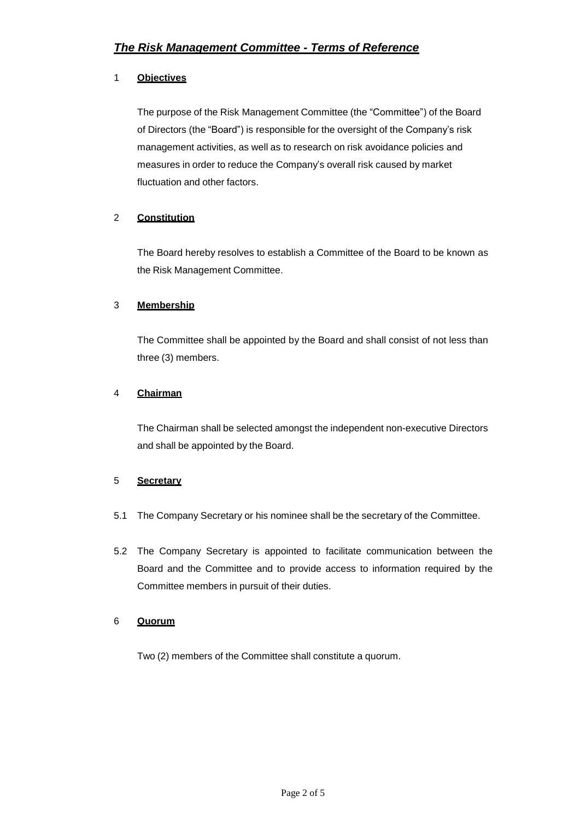#### 1 **Objectives**

The purpose of the Risk Management Committee (the "Committee") of the Board of Directors (the "Board") is responsible for the oversight of the Company's risk management activities, as well as to research on risk avoidance policies and measures in order to reduce the Company's overall risk caused by market fluctuation and other factors.

#### 2 **Constitution**

The Board hereby resolves to establish a Committee of the Board to be known as the Risk Management Committee.

#### 3 **Membership**

The Committee shall be appointed by the Board and shall consist of not less than three (3) members.

#### 4 **Chairman**

The Chairman shall be selected amongst the independent non-executive Directors and shall be appointed by the Board.

#### 5 **Secretary**

- 5.1 The Company Secretary or his nominee shall be the secretary of the Committee.
- 5.2 The Company Secretary is appointed to facilitate communication between the Board and the Committee and to provide access to information required by the Committee members in pursuit of their duties.

#### 6 **Quorum**

Two (2) members of the Committee shall constitute a quorum.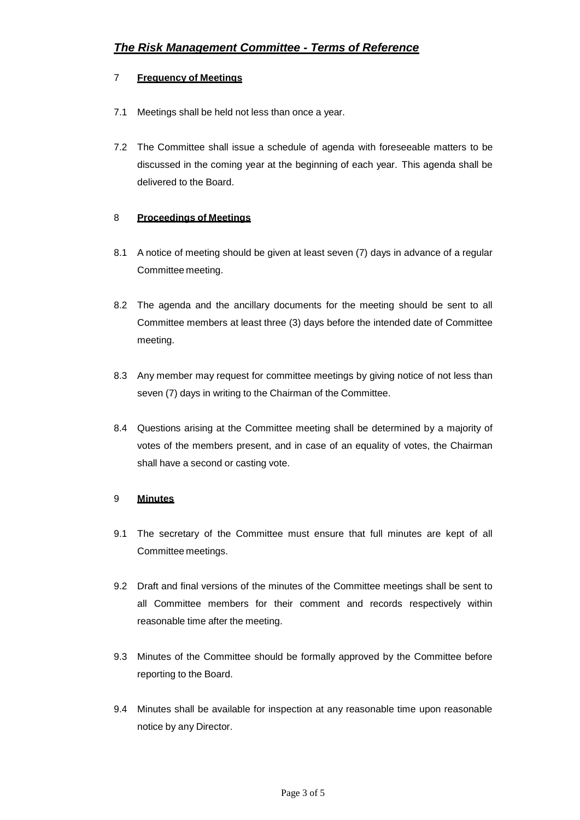#### 7 **Frequency of Meetings**

- 7.1 Meetings shall be held not less than once a year.
- 7.2 The Committee shall issue a schedule of agenda with foreseeable matters to be discussed in the coming year at the beginning of each year. This agenda shall be delivered to the Board.

#### 8 **Proceedings of Meetings**

- 8.1 A notice of meeting should be given at least seven (7) days in advance of a regular Committee meeting.
- 8.2 The agenda and the ancillary documents for the meeting should be sent to all Committee members at least three (3) days before the intended date of Committee meeting.
- 8.3 Any member may request for committee meetings by giving notice of not less than seven (7) days in writing to the Chairman of the Committee.
- 8.4 Questions arising at the Committee meeting shall be determined by a majority of votes of the members present, and in case of an equality of votes, the Chairman shall have a second or casting vote.

#### 9 **Minutes**

- 9.1 The secretary of the Committee must ensure that full minutes are kept of all Committee meetings.
- 9.2 Draft and final versions of the minutes of the Committee meetings shall be sent to all Committee members for their comment and records respectively within reasonable time after the meeting.
- 9.3 Minutes of the Committee should be formally approved by the Committee before reporting to the Board.
- 9.4 Minutes shall be available for inspection at any reasonable time upon reasonable notice by any Director.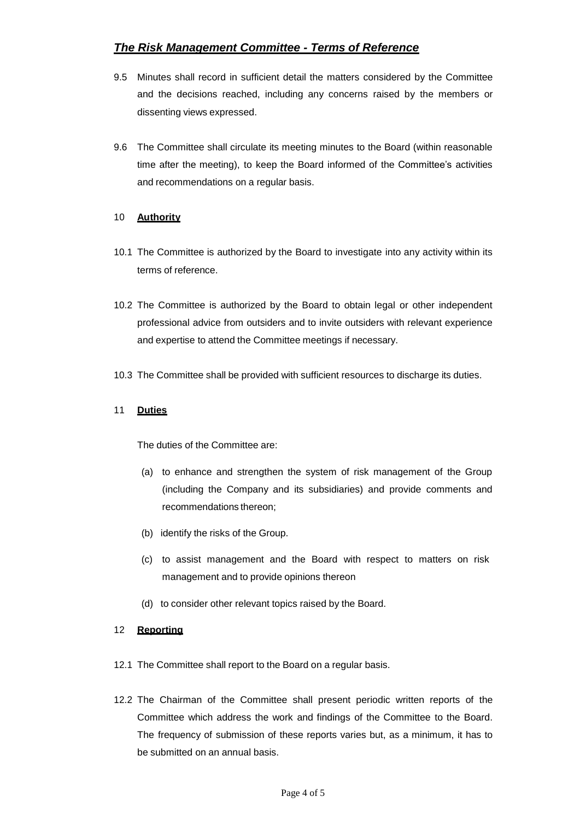### *The Risk Management Committee - Terms of Reference*

- 9.5 Minutes shall record in sufficient detail the matters considered by the Committee and the decisions reached, including any concerns raised by the members or dissenting views expressed.
- 9.6 The Committee shall circulate its meeting minutes to the Board (within reasonable time after the meeting), to keep the Board informed of the Committee's activities and recommendations on a regular basis.

#### 10 **Authority**

- 10.1 The Committee is authorized by the Board to investigate into any activity within its terms of reference.
- 10.2 The Committee is authorized by the Board to obtain legal or other independent professional advice from outsiders and to invite outsiders with relevant experience and expertise to attend the Committee meetings if necessary.
- 10.3 The Committee shall be provided with sufficient resources to discharge its duties.

#### 11 **Duties**

The duties of the Committee are:

- (a) to enhance and strengthen the system of risk management of the Group (including the Company and its subsidiaries) and provide comments and recommendations thereon;
- (b) identify the risks of the Group.
- (c) to assist management and the Board with respect to matters on risk management and to provide opinions thereon
- (d) to consider other relevant topics raised by the Board.

#### 12 **Reporting**

- 12.1 The Committee shall report to the Board on a regular basis.
- 12.2 The Chairman of the Committee shall present periodic written reports of the Committee which address the work and findings of the Committee to the Board. The frequency of submission of these reports varies but, as a minimum, it has to be submitted on an annual basis.